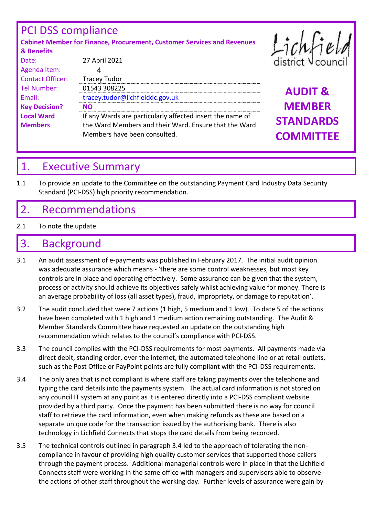## PCI DSS compliance

Contact Officer: Tracey Tudor

4

**Key Decision? NO**

Agenda Item:

**Local Ward Members**

**Cabinet Member for Finance, Procurement, Customer Services and Revenues & Benefits** Date: 27 April 2021

Members have been consulted.

Tel Number: 01543 308225 **AUDIT &**  Email: [tracey.tudor@lichfielddc.gov.uk](mailto:tracey.tudor@lichfielddc.gov.uk) **MEMBER STANDARDS COMMITTEE**

## 1. Executive Summary

1.1 To provide an update to the Committee on the outstanding Payment Card Industry Data Security Standard (PCI-DSS) high priority recommendation.

If any Wards are particularly affected insert the name of the Ward Members and their Ward. Ensure that the Ward

## 2. Recommendations

2.1 To note the update.

## 3. Background

- 3.1 An audit assessment of e-payments was published in February 2017. The initial audit opinion was adequate assurance which means - 'there are some control weaknesses, but most key controls are in place and operating effectively. Some assurance can be given that the system, process or activity should achieve its objectives safely whilst achieving value for money. There is an average probability of loss (all asset types), fraud, impropriety, or damage to reputation'.
- 3.2 The audit concluded that were 7 actions (1 high, 5 medium and 1 low). To date 5 of the actions have been completed with 1 high and 1 medium action remaining outstanding. The Audit & Member Standards Committee have requested an update on the outstanding high recommendation which relates to the council's compliance with PCI-DSS.
- 3.3 The council complies with the PCI-DSS requirements for most payments. All payments made via direct debit, standing order, over the internet, the automated telephone line or at retail outlets, such as the Post Office or PayPoint points are fully compliant with the PCI-DSS requirements.
- 3.4 The only area that is not compliant is where staff are taking payments over the telephone and typing the card details into the payments system. The actual card information is not stored on any council IT system at any point as it is entered directly into a PCI-DSS compliant website provided by a third party. Once the payment has been submitted there is no way for council staff to retrieve the card information, even when making refunds as these are based on a separate unique code for the transaction issued by the authorising bank. There is also technology in Lichfield Connects that stops the card details from being recorded.
- 3.5 The technical controls outlined in paragraph 3.4 led to the approach of tolerating the noncompliance in favour of providing high quality customer services that supported those callers through the payment process. Additional managerial controls were in place in that the Lichfield Connects staff were working in the same office with managers and supervisors able to observe the actions of other staff throughout the working day. Further levels of assurance were gain by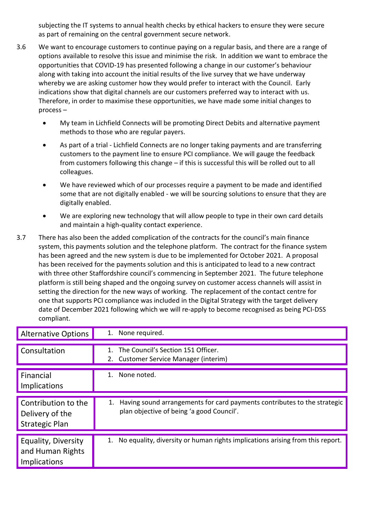subjecting the IT systems to annual health checks by ethical hackers to ensure they were secure as part of remaining on the central government secure network.

- 3.6 We want to encourage customers to continue paying on a regular basis, and there are a range of options available to resolve this issue and minimise the risk. In addition we want to embrace the opportunities that COVID-19 has presented following a change in our customer's behaviour along with taking into account the initial results of the live survey that we have underway whereby we are asking customer how they would prefer to interact with the Council. Early indications show that digital channels are our customers preferred way to interact with us. Therefore, in order to maximise these opportunities, we have made some initial changes to process –
	- My team in Lichfield Connects will be promoting Direct Debits and alternative payment methods to those who are regular payers.
	- As part of a trial Lichfield Connects are no longer taking payments and are transferring customers to the payment line to ensure PCI compliance. We will gauge the feedback from customers following this change – if this is successful this will be rolled out to all colleagues.
	- We have reviewed which of our processes require a payment to be made and identified some that are not digitally enabled - we will be sourcing solutions to ensure that they are digitally enabled.
	- We are exploring new technology that will allow people to type in their own card details and maintain a high-quality contact experience.
- 3.7 There has also been the added complication of the contracts for the council's main finance system, this payments solution and the telephone platform. The contract for the finance system has been agreed and the new system is due to be implemented for October 2021. A proposal has been received for the payments solution and this is anticipated to lead to a new contract with three other Staffordshire council's commencing in September 2021. The future telephone platform is still being shaped and the ongoing survey on customer access channels will assist in setting the direction for the new ways of working. The replacement of the contact centre for one that supports PCI compliance was included in the Digital Strategy with the target delivery date of December 2021 following which we will re-apply to become recognised as being PCI-DSS compliant.

| <b>Alternative Options</b>                                      | 1. None required.                                                                                                        |
|-----------------------------------------------------------------|--------------------------------------------------------------------------------------------------------------------------|
| Consultation                                                    | The Council's Section 151 Officer.<br>$1_{\cdot}$<br>Customer Service Manager (interim)<br>2.                            |
| Financial<br>Implications                                       | None noted.                                                                                                              |
| Contribution to the<br>Delivery of the<br><b>Strategic Plan</b> | 1. Having sound arrangements for card payments contributes to the strategic<br>plan objective of being 'a good Council'. |
| Equality, Diversity<br>and Human Rights<br>Implications         | 1. No equality, diversity or human rights implications arising from this report.                                         |